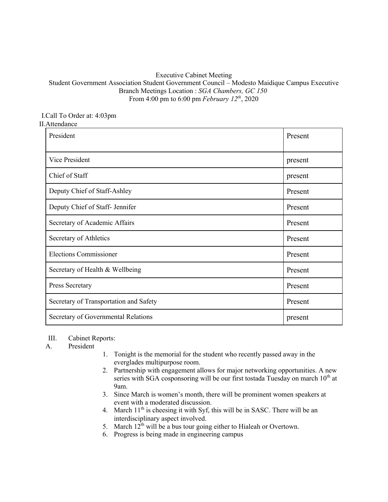## Executive Cabinet Meeting

## Student Government Association Student Government Council – Modesto Maidique Campus Executive Branch Meetings Location : *SGA Chambers, GC 150* From 4:00 pm to 6:00 pm *February 12th*, 2020

#### I.Call To Order at: 4:03pm II.Attendance

| President                              | Present |
|----------------------------------------|---------|
| Vice President                         | present |
| Chief of Staff                         | present |
| Deputy Chief of Staff-Ashley           | Present |
| Deputy Chief of Staff- Jennifer        | Present |
| Secretary of Academic Affairs          | Present |
| Secretary of Athletics                 | Present |
| <b>Elections Commissioner</b>          | Present |
| Secretary of Health & Wellbeing        | Present |
| Press Secretary                        | Present |
| Secretary of Transportation and Safety | Present |
| Secretary of Governmental Relations    | present |

## III. Cabinet Reports:

# A. President

- 1. Tonight is the memorial for the student who recently passed away in the everglades multipurpose room.
- 2. Partnership with engagement allows for major networking opportunities. A new series with SGA cosponsoring will be our first tostada Tuesday on march  $10<sup>th</sup>$  at 9am.
- 3. Since March is women's month, there will be prominent women speakers at event with a moderated discussion.
- 4. March  $11<sup>th</sup>$  is cheesing it with Syf, this will be in SASC. There will be an interdisciplinary aspect involved.
- 5. March  $12^{th}$  will be a bus tour going either to Hialeah or Overtown.
- 6. Progress is being made in engineering campus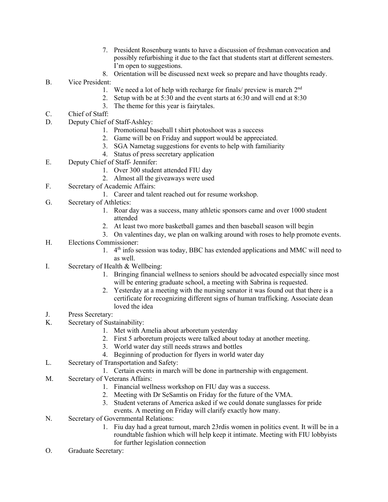- 7. President Rosenburg wants to have a discussion of freshman convocation and possibly refurbishing it due to the fact that students start at different semesters. I'm open to suggestions.
- 8. Orientation will be discussed next week so prepare and have thoughts ready.
- B. Vice President:
	- 1. We need a lot of help with recharge for finals/ preview is march  $2<sup>nd</sup>$
	- 2. Setup with be at 5:30 and the event starts at 6:30 and will end at 8:30
	- 3. The theme for this year is fairytales.
- C. Chief of Staff:
- D. Deputy Chief of Staff-Ashley:
	- 1. Promotional baseball t shirt photoshoot was a success
	- 2. Game will be on Friday and support would be appreciated.
	- 3. SGA Nametag suggestions for events to help with familiarity
	- 4. Status of press secretary application
- E. Deputy Chief of Staff- Jennifer:
	- 1. Over 300 student attended FIU day
	- 2. Almost all the giveaways were used
- F. Secretary of Academic Affairs:
	- 1. Career and talent reached out for resume workshop.
- G. Secretary of Athletics:
	- 1. Roar day was a success, many athletic sponsors came and over 1000 student attended
	- 2. At least two more basketball games and then baseball season will begin
	- 3. On valentines day, we plan on walking around with roses to help promote events.
- H. Elections Commissioner:
	- 1.  $4<sup>th</sup>$  info session was today, BBC has extended applications and MMC will need to as well.
- I. Secretary of Health & Wellbeing:
	- 1. Bringing financial wellness to seniors should be advocated especially since most will be entering graduate school, a meeting with Sabrina is requested.
	- 2. Yesterday at a meeting with the nursing senator it was found out that there is a certificate for recognizing different signs of human trafficking. Associate dean loved the idea
- J. Press Secretary:
- K. Secretary of Sustainability:
	- 1. Met with Amelia about arboretum yesterday
	- 2. First 5 arboretum projects were talked about today at another meeting.
	- 3. World water day still needs straws and bottles
	- 4. Beginning of production for flyers in world water day
- L. Secretary of Transportation and Safety:
	- 1. Certain events in march will be done in partnership with engagement.
- M. Secretary of Veterans Affairs:
	- 1. Financial wellness workshop on FIU day was a success.
	- 2. Meeting with Dr SeSamtis on Friday for the future of the VMA.
	- 3. Student veterans of America asked if we could donate sunglasses for pride events. A meeting on Friday will clarify exactly how many.
- N. Secretary of Governmental Relations:
	- 1. Fiu day had a great turnout, march 23rdis women in politics event. It will be in a roundtable fashion which will help keep it intimate. Meeting with FIU lobbyists for further legislation connection
- O. Graduate Secretary: